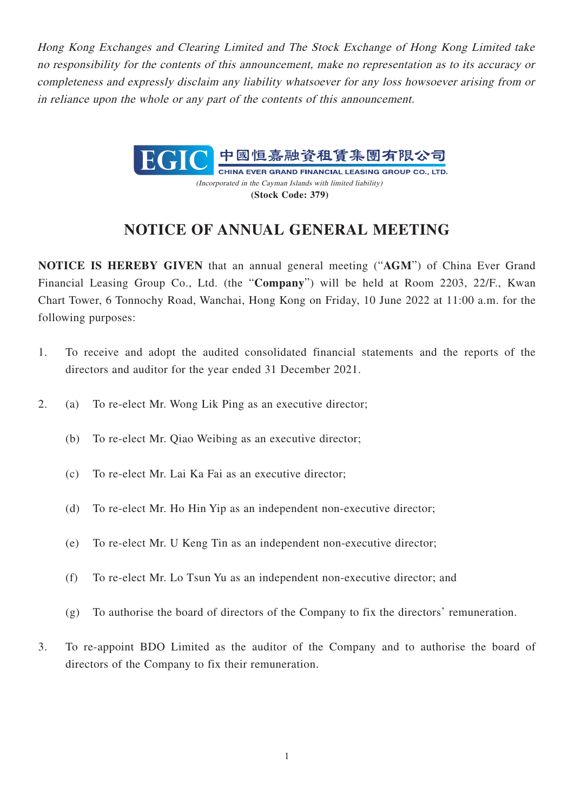Hong Kong Exchanges and Clearing Limited and The Stock Exchange of Hong Kong Limited take no responsibility for the contents of this announcement, make no representation as to its accuracy or completeness and expressly disclaim any liability whatsoever for any loss howsoever arising from or in reliance upon the whole or any part of the contents of this announcement.



(Incorporated in the Cayman Islands with limited liability) **(Stock Code: 379)**

## **NOTICE OF ANNUAL GENERAL MEETING**

**NOTICE IS HEREBY GIVEN** that an annual general meeting ("**AGM**") of China Ever Grand Financial Leasing Group Co., Ltd. (the "**Company**") will be held at Room 2203, 22/F., Kwan Chart Tower, 6 Tonnochy Road, Wanchai, Hong Kong on Friday, 10 June 2022 at 11:00 a.m. for the following purposes:

- 1. To receive and adopt the audited consolidated financial statements and the reports of the directors and auditor for the year ended 31 December 2021.
- 2. (a) To re-elect Mr. Wong Lik Ping as an executive director;
	- (b) To re-elect Mr. Qiao Weibing as an executive director;
	- (c) To re-elect Mr. Lai Ka Fai as an executive director;
	- (d) To re-elect Mr. Ho Hin Yip as an independent non-executive director;
	- (e) To re-elect Mr. U Keng Tin as an independent non-executive director;
	- (f) To re-elect Mr. Lo Tsun Yu as an independent non-executive director; and
	- (g) To authorise the board of directors of the Company to fix the directors' remuneration.
- 3. To re-appoint BDO Limited as the auditor of the Company and to authorise the board of directors of the Company to fix their remuneration.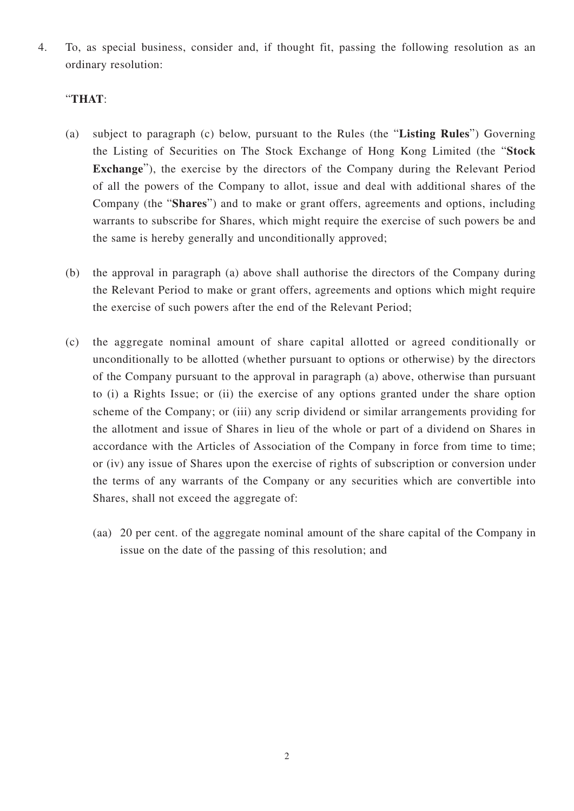4. To, as special business, consider and, if thought fit, passing the following resolution as an ordinary resolution:

## "**THAT**:

- (a) subject to paragraph (c) below, pursuant to the Rules (the "**Listing Rules**") Governing the Listing of Securities on The Stock Exchange of Hong Kong Limited (the "**Stock Exchange**"), the exercise by the directors of the Company during the Relevant Period of all the powers of the Company to allot, issue and deal with additional shares of the Company (the "**Shares**") and to make or grant offers, agreements and options, including warrants to subscribe for Shares, which might require the exercise of such powers be and the same is hereby generally and unconditionally approved;
- (b) the approval in paragraph (a) above shall authorise the directors of the Company during the Relevant Period to make or grant offers, agreements and options which might require the exercise of such powers after the end of the Relevant Period;
- (c) the aggregate nominal amount of share capital allotted or agreed conditionally or unconditionally to be allotted (whether pursuant to options or otherwise) by the directors of the Company pursuant to the approval in paragraph (a) above, otherwise than pursuant to (i) a Rights Issue; or (ii) the exercise of any options granted under the share option scheme of the Company; or (iii) any scrip dividend or similar arrangements providing for the allotment and issue of Shares in lieu of the whole or part of a dividend on Shares in accordance with the Articles of Association of the Company in force from time to time; or (iv) any issue of Shares upon the exercise of rights of subscription or conversion under the terms of any warrants of the Company or any securities which are convertible into Shares, shall not exceed the aggregate of:
	- (aa) 20 per cent. of the aggregate nominal amount of the share capital of the Company in issue on the date of the passing of this resolution; and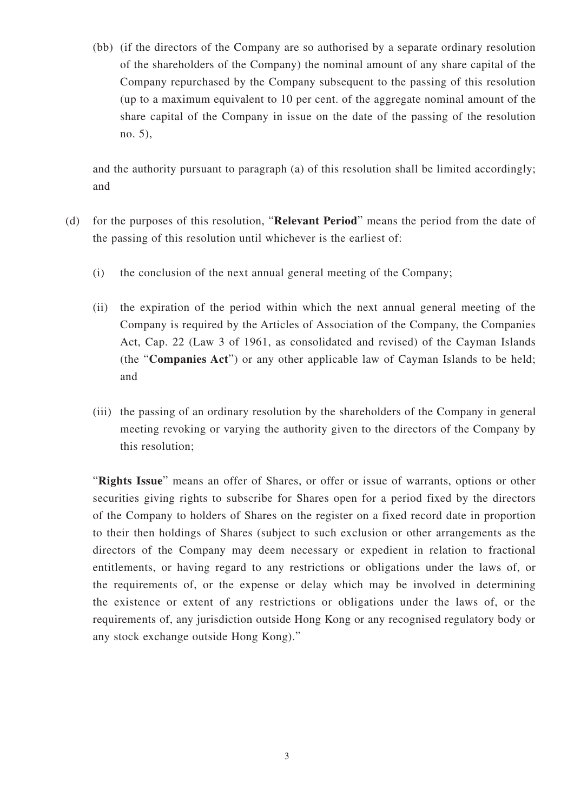(bb) (if the directors of the Company are so authorised by a separate ordinary resolution of the shareholders of the Company) the nominal amount of any share capital of the Company repurchased by the Company subsequent to the passing of this resolution (up to a maximum equivalent to 10 per cent. of the aggregate nominal amount of the share capital of the Company in issue on the date of the passing of the resolution no. 5),

and the authority pursuant to paragraph (a) of this resolution shall be limited accordingly; and

- (d) for the purposes of this resolution, "**Relevant Period**" means the period from the date of the passing of this resolution until whichever is the earliest of:
	- (i) the conclusion of the next annual general meeting of the Company;
	- (ii) the expiration of the period within which the next annual general meeting of the Company is required by the Articles of Association of the Company, the Companies Act, Cap. 22 (Law 3 of 1961, as consolidated and revised) of the Cayman Islands (the "**Companies Act**") or any other applicable law of Cayman Islands to be held; and
	- (iii) the passing of an ordinary resolution by the shareholders of the Company in general meeting revoking or varying the authority given to the directors of the Company by this resolution;

"**Rights Issue**" means an offer of Shares, or offer or issue of warrants, options or other securities giving rights to subscribe for Shares open for a period fixed by the directors of the Company to holders of Shares on the register on a fixed record date in proportion to their then holdings of Shares (subject to such exclusion or other arrangements as the directors of the Company may deem necessary or expedient in relation to fractional entitlements, or having regard to any restrictions or obligations under the laws of, or the requirements of, or the expense or delay which may be involved in determining the existence or extent of any restrictions or obligations under the laws of, or the requirements of, any jurisdiction outside Hong Kong or any recognised regulatory body or any stock exchange outside Hong Kong)."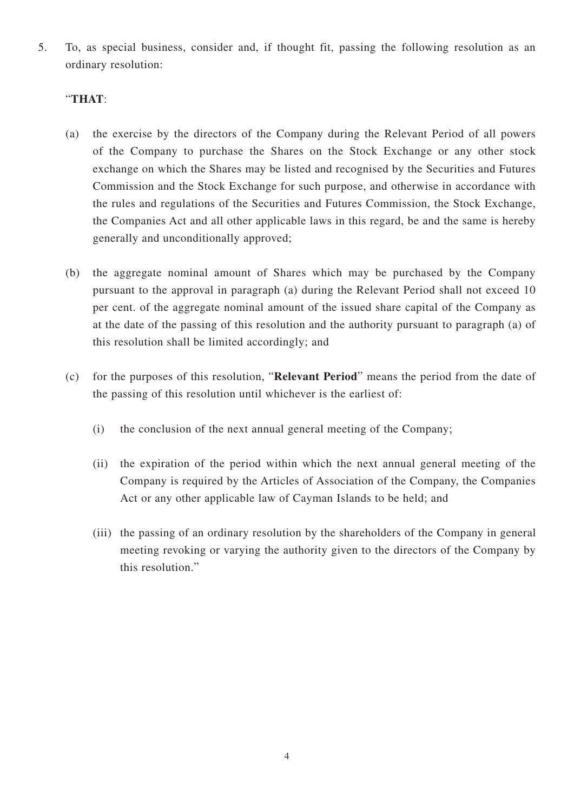5. To, as special business, consider and, if thought fit, passing the following resolution as an ordinary resolution:

## "**THAT**:

- (a) the exercise by the directors of the Company during the Relevant Period of all powers of the Company to purchase the Shares on the Stock Exchange or any other stock exchange on which the Shares may be listed and recognised by the Securities and Futures Commission and the Stock Exchange for such purpose, and otherwise in accordance with the rules and regulations of the Securities and Futures Commission, the Stock Exchange, the Companies Act and all other applicable laws in this regard, be and the same is hereby generally and unconditionally approved;
- (b) the aggregate nominal amount of Shares which may be purchased by the Company pursuant to the approval in paragraph (a) during the Relevant Period shall not exceed 10 per cent. of the aggregate nominal amount of the issued share capital of the Company as at the date of the passing of this resolution and the authority pursuant to paragraph (a) of this resolution shall be limited accordingly; and
- (c) for the purposes of this resolution, "**Relevant Period**" means the period from the date of the passing of this resolution until whichever is the earliest of:
	- (i) the conclusion of the next annual general meeting of the Company;
	- (ii) the expiration of the period within which the next annual general meeting of the Company is required by the Articles of Association of the Company, the Companies Act or any other applicable law of Cayman Islands to be held; and
	- (iii) the passing of an ordinary resolution by the shareholders of the Company in general meeting revoking or varying the authority given to the directors of the Company by this resolution."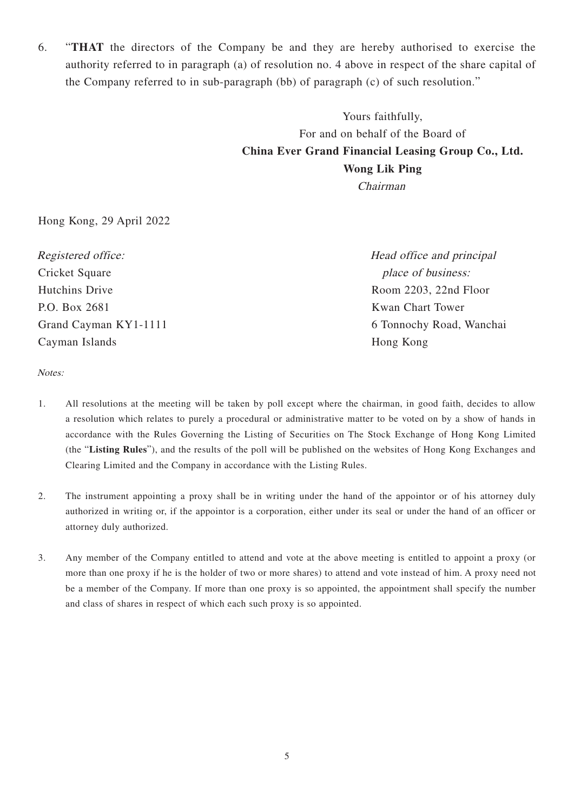6. "**THAT** the directors of the Company be and they are hereby authorised to exercise the authority referred to in paragraph (a) of resolution no. 4 above in respect of the share capital of the Company referred to in sub-paragraph (bb) of paragraph (c) of such resolution."

> Yours faithfully, For and on behalf of the Board of **China Ever Grand Financial Leasing Group Co., Ltd. Wong Lik Ping** Chairman

Hong Kong, 29 April 2022

Registered office: Cricket Square Hutchins Drive P.O. Box 2681 Grand Cayman KY1-1111 Cayman Islands

Head office and principal place of business: Room 2203, 22nd Floor Kwan Chart Tower 6 Tonnochy Road, Wanchai Hong Kong

Notes:

- 1. All resolutions at the meeting will be taken by poll except where the chairman, in good faith, decides to allow a resolution which relates to purely a procedural or administrative matter to be voted on by a show of hands in accordance with the Rules Governing the Listing of Securities on The Stock Exchange of Hong Kong Limited (the "**Listing Rules**"), and the results of the poll will be published on the websites of Hong Kong Exchanges and Clearing Limited and the Company in accordance with the Listing Rules.
- 2. The instrument appointing a proxy shall be in writing under the hand of the appointor or of his attorney duly authorized in writing or, if the appointor is a corporation, either under its seal or under the hand of an officer or attorney duly authorized.
- 3. Any member of the Company entitled to attend and vote at the above meeting is entitled to appoint a proxy (or more than one proxy if he is the holder of two or more shares) to attend and vote instead of him. A proxy need not be a member of the Company. If more than one proxy is so appointed, the appointment shall specify the number and class of shares in respect of which each such proxy is so appointed.